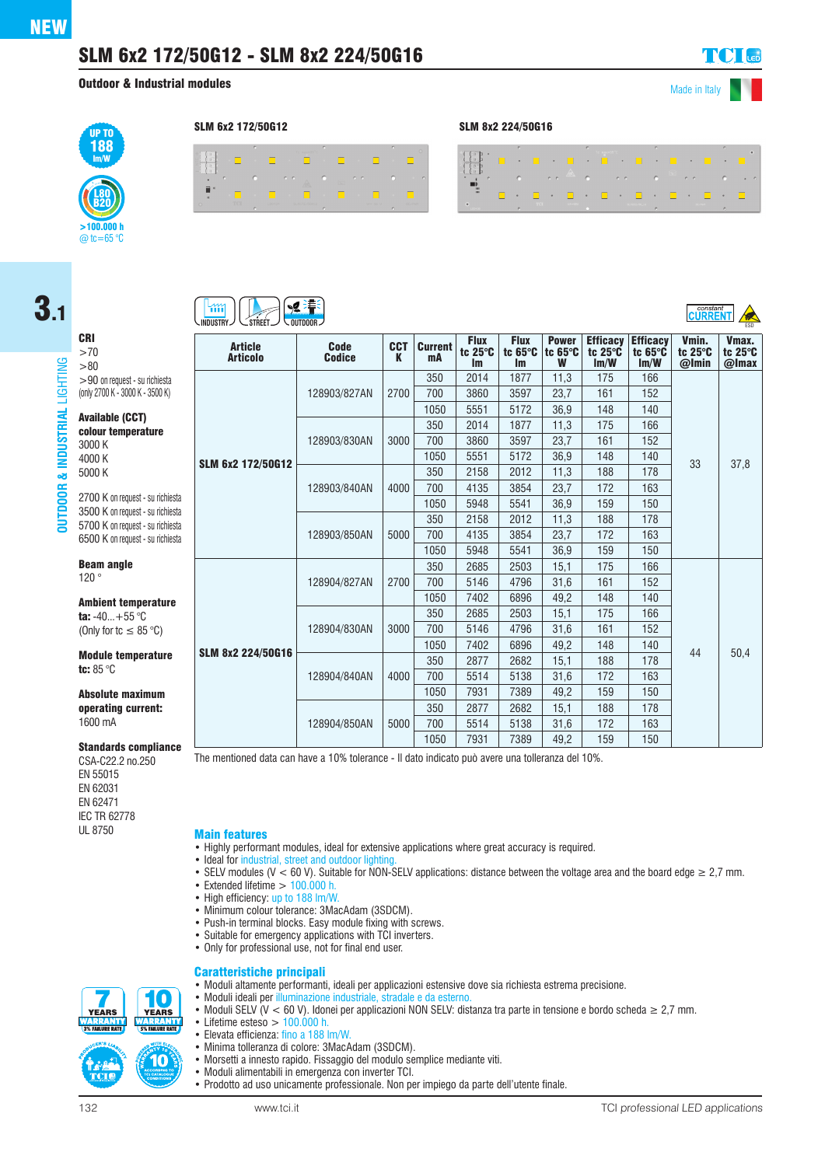3.1

CRI >70 >80

120 °

**OUTDOOR & INDUSTRIAL** LIGHTING

& INDUS

**OUTDOOR** 

**ISTRIAL** 

LIGHTING

# SLM 6x2 172/50G12 - SLM 8x2 224/50G16

Outdoor & Industrial modules

**Vmax** tc 25°C

Made in Italy



#### **BEE**  $\mathfrak{m}$ **INDUSTRY STREET OUTDOOR P ISSUED ISSUED ASSOCIATE THE SECOND ASSOCIATE ASSOCIATE ASSOCIATE ISSUED ASSOCIATE Flux Flux** Power **Efficacy Efficacy** Vmin. Article Code **CCT Current** tc 25°C tc 65°C tc 25°C tc 65°C tc 25°C tc 65°C **Articolo Codice** K mA lm lm W lm/W lm/W @Imin  $>$ 90 on request - su richiest 350 2014 1877 11,3 175 166 (only 2700 K - 3000 K - 3500 K) 128903/827AN 2700 700 3860 3597 23,7 161 152 1050 | 5551 | 5172 | 36,9 | 148 | 140 Available (CCT) 350 2014 1877 11,3 175 166 colour temperature 128903/830AN 3000 700 3860 3597 23,7 161 152 3000 K 4000 K 1050 | 5551 | 5172 | 36,9 | 148 | 140 SLM 6x2 172/50G12 5000 K 350 | 2158 | 2012 | 11,3 | 188 | 178 128903/840AN | 4000 700 4135 3854 23,7 172 163 2700 K on request - su rich 1050 | 5948 | 5541 | 36,9 | 159 | 150 3500 K on request - su rich 350 | 2158 | 2012 | 11,3 | 188 | 178 5700 K on request - su rich 128903/850AN | 5000 700 4135 3854 23,7 172 163 6500 K on request - su rich 1050 | 5948 | 5541 | 36,9 | 159 | 150 Beam angle 350 2685 2503 15,1 175 166 128904/827AN 2700 700 | 5146 | 4796 | 31,6 | 161 | 152 1050 | 7402 | 6896 | 49,2 | 148 | 140 **Ambient temperature** 350 2685 2503 15,1 175 166 ta:  $-40...+55$  °C (Only for tc  $\leq 85$  °C) 128904/830AN 3000 700 | 5146 | 4796 | 31,6 | 161 | 152 1050 | 7402 | 6896 | 49,2 | 148 | 140 SLM 8x2 224/50G16 **Module temperature** 350 2877 2682 15,1 188 178 tc: 85 °C 128904/840AN | 4000 700 | 5514 | 5138 | 31,6 | 172 | 163 1050 | 7931 | 7389 | 49,2 | 159 | 150 Absolute maximum operating current: 350 2877 2682 15,1 188 178 1600 mA

**Standards complian** 

CSA-C22.2 no.250 EN 55015 EN 62031 EN 62471 **IEC TR 62778**<br>UI 8750

#### **Main features**

- Highly performant modules, ideal for extensive applications where great accuracy is required.
- Ideal for industrial, street and outdoor lighting
- SELV modules (V < 60 V). Suitable for NON-SELV applications: distance between the voltage area and the board edge ≥ 2,7 mm.
- Extended lifetime  $> 100.000$  h.
- High efficiency: up to 188 lm/W.
- Minimum colour tolerance: 3MacAdam (3SDCM).
- Push-in terminal blocks. Easy module fixing with screws.
- Suitable for emergency applications with TCI inverters.

• Moduli ideali per illuminazione industriale, stradale e da esterno.

• Only for professional use, not for final end user.

### Caratteristiche principali • Moduli altamente performanti, ideali per applicazioni estensive dove sia richiesta estrema precisione.



- Moduli SELV (V < 60 V). Idonei per applicazioni NON SELV: distanza tra parte in tensione e bordo scheda ≥ 2,7 mm. • Lifetime esteso  $> 100.000$  h. • Elevata efficienza: fino a 188 lm/W.
	- Minima tolleranza di colore: 3MacAdam (3SDCM).
	- Morsetti a innesto rapido. Fissaggio del modulo semplice mediante viti.
	- Moduli alimentabili in emergenza con inverter TCI.
	- Prodotto ad uso unicamente professionale. Non per impiego da parte dell'utente finale.

SLM 6x2 172/50G12 SLM 8x2 224/50G16

|                                      | <b>SEC</b> |  |               | r. |                                                                 |                | r. |  | n. |        |
|--------------------------------------|------------|--|---------------|----|-----------------------------------------------------------------|----------------|----|--|----|--------|
|                                      |            |  |               |    |                                                                 |                |    |  |    |        |
|                                      |            |  |               |    | $\bullet$ and $\bullet$ are $\bullet$ $\bullet$ and $\bullet$ . |                |    |  |    | $\sim$ |
| <b>COL</b>                           |            |  |               |    | <b>A REAL PROPERTY AND A REAL PROPERTY OF</b>                   |                |    |  |    |        |
| <b>Contractor</b> and the contractor |            |  | $U = 14 + 67$ |    |                                                                 | 9 9 1022 50 14 |    |  |    |        |

|                   | AI LIGUIU         | UUUILG       | n    | ша   | Im   | <b>Im</b> | W    | Im/W | Im/W | @Imin                                                                           | @Imax |
|-------------------|-------------------|--------------|------|------|------|-----------|------|------|------|---------------------------------------------------------------------------------|-------|
|                   |                   | 128903/827AN | 2700 | 350  | 2014 | 1877      | 11,3 | 175  | 166  | 152<br>140<br>166<br>152<br>140<br>33<br>178<br>163<br>150<br>178<br>163<br>150 | 37,8  |
|                   |                   |              |      | 700  | 3860 | 3597      | 23,7 | 161  |      |                                                                                 |       |
|                   |                   |              |      | 1050 | 5551 | 5172      | 36,9 | 148  |      |                                                                                 |       |
|                   |                   |              | 3000 | 350  | 2014 | 1877      | 11,3 | 175  |      |                                                                                 |       |
|                   |                   | 128903/830AN |      | 700  | 3860 | 3597      | 23,7 | 161  |      |                                                                                 |       |
|                   | SLM 6x2 172/50G12 |              |      | 1050 | 5551 | 5172      | 36,9 | 148  |      |                                                                                 |       |
|                   |                   | 128903/840AN |      | 350  | 2158 | 2012      | 11.3 | 188  |      |                                                                                 |       |
|                   |                   |              | 4000 | 700  | 4135 | 3854      | 23,7 | 172  |      |                                                                                 |       |
|                   |                   |              |      | 1050 | 5948 | 5541      | 36,9 | 159  |      |                                                                                 |       |
|                   |                   | 128903/850AN | 5000 | 350  | 2158 | 2012      | 11,3 | 188  |      |                                                                                 |       |
|                   |                   |              |      | 700  | 4135 | 3854      | 23.7 | 172  |      |                                                                                 |       |
|                   |                   |              |      | 1050 | 5948 | 5541      | 36,9 | 159  |      |                                                                                 |       |
|                   |                   | 128904/827AN | 2700 | 350  | 2685 | 2503      | 15,1 | 175  | 166  | 44                                                                              | 50,4  |
|                   |                   |              |      | 700  | 5146 | 4796      | 31.6 | 161  | 152  |                                                                                 |       |
| SLM 8x2 224/50G16 |                   |              |      | 1050 | 7402 | 6896      | 49,2 | 148  | 140  |                                                                                 |       |
|                   |                   | 128904/830AN | 3000 | 350  | 2685 | 2503      | 15,1 | 175  | 166  |                                                                                 |       |
|                   |                   |              |      | 700  | 5146 | 4796      | 31,6 | 161  | 152  |                                                                                 |       |
|                   |                   |              |      | 1050 | 7402 | 6896      | 49.2 | 148  | 140  |                                                                                 |       |
|                   |                   | 128904/840AN | 4000 | 350  | 2877 | 2682      | 15,1 | 188  | 178  |                                                                                 |       |
|                   |                   |              |      | 700  | 5514 | 5138      | 31,6 | 172  | 163  |                                                                                 |       |
|                   |                   |              |      | 1050 | 7931 | 7389      | 49.2 | 159  | 150  |                                                                                 |       |
|                   |                   |              | 5000 | 350  | 2877 | 2682      | 15,1 | 188  | 178  |                                                                                 |       |
|                   |                   | 128904/850AN |      | 700  | 5514 | 5138      | 31.6 | 172  | 163  |                                                                                 |       |
|                   |                   |              |      | 1050 | 7931 | 7389      | 49,2 | 159  | 150  |                                                                                 |       |